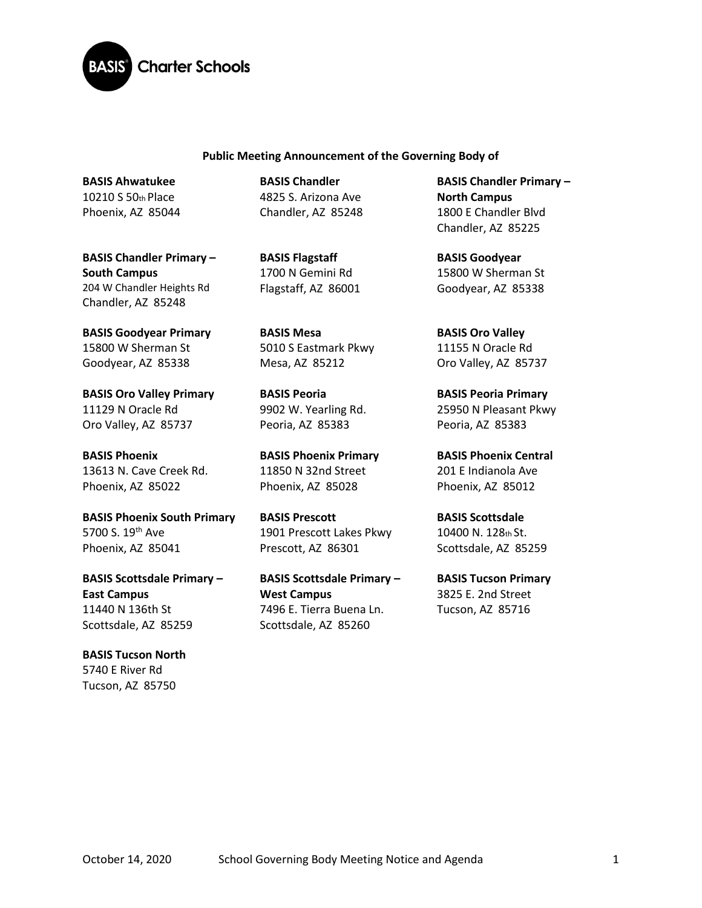

#### **Public Meeting Announcement of the Governing Body of**

**BASIS Ahwatukee**  10210 S 50th Place Phoenix, AZ 85044

**BASIS Chandler Primary – South Campus**  204 W Chandler Heights Rd Chandler, AZ 85248

**BASIS Goodyear Primary**  15800 W Sherman St Goodyear, AZ 85338

**BASIS Oro Valley Primary**  11129 N Oracle Rd Oro Valley, AZ 85737

**BASIS Phoenix**  13613 N. Cave Creek Rd. Phoenix, AZ 85022

**BASIS Phoenix South Primary**  5700 S. 19<sup>th</sup> Ave Phoenix, AZ 85041

**BASIS Scottsdale Primary – East Campus** 11440 N 136th St Scottsdale, AZ 85259

**BASIS Tucson North**  5740 E River Rd Tucson, AZ 85750

**BASIS Chandler**  4825 S. Arizona Ave Chandler, AZ 85248

**BASIS Flagstaff**  1700 N Gemini Rd Flagstaff, AZ 86001

**BASIS Mesa**  5010 S Eastmark Pkwy Mesa, AZ 85212

**BASIS Peoria**  9902 W. Yearling Rd. Peoria, AZ 85383

**BASIS Phoenix Primary** 11850 N 32nd Street Phoenix, AZ 85028

**BASIS Prescott**  1901 Prescott Lakes Pkwy Prescott, AZ 86301

**BASIS Scottsdale Primary – West Campus** 7496 E. Tierra Buena Ln. Scottsdale, AZ 85260

**BASIS Chandler Primary – North Campus**  1800 E Chandler Blvd Chandler, AZ 85225

**BASIS Goodyear**  15800 W Sherman St Goodyear, AZ 85338

**BASIS Oro Valley**  11155 N Oracle Rd Oro Valley, AZ 85737

**BASIS Peoria Primary**  25950 N Pleasant Pkwy Peoria, AZ 85383

**BASIS Phoenix Central**  201 E Indianola Ave Phoenix, AZ 85012

**BASIS Scottsdale**  10400 N. 128th St. Scottsdale, AZ 85259

**BASIS Tucson Primary**  3825 E. 2nd Street Tucson, AZ 85716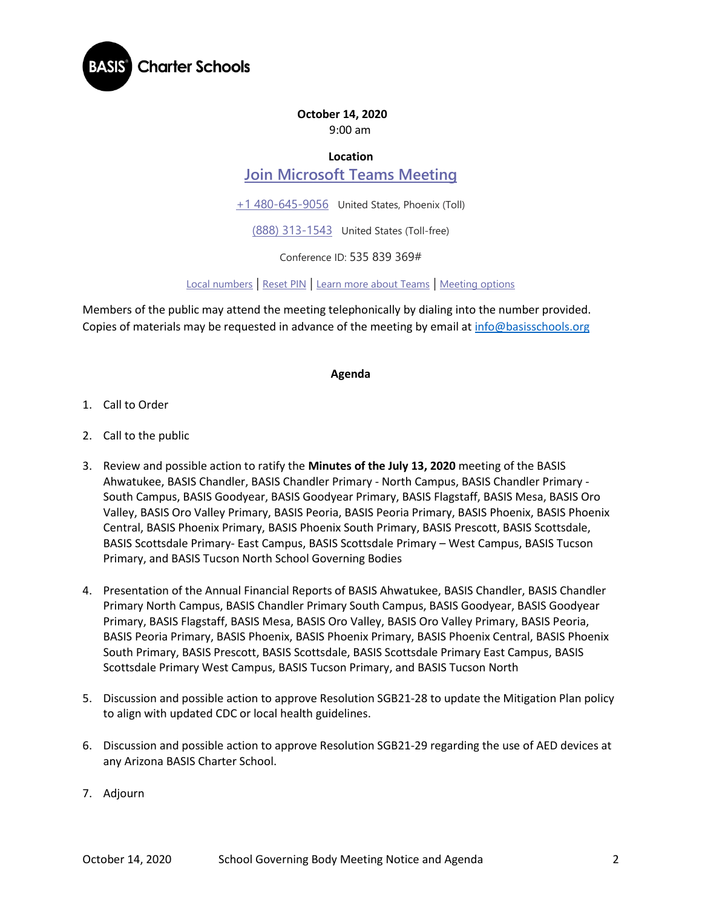

## **October 14, 2020**

9:00 am

## **Location**

# **[Join Microsoft Teams Meeting](https://teams.microsoft.com/l/meetup-join/19%3ameeting_ZGM3NjJkZTItYWNiOC00OWJmLTgzNmQtMDlmNmJlMDBiNzI3%40thread.v2/0?context=%7b%22Tid%22%3a%22e5f3479c-502f-4e92-b060-0c0c560d6271%22%2c%22Oid%22%3a%22575e4f74-824e-48e9-9805-77af91568d41%22%7d)**

[+1 480-645-9056](tel:+1%20480-645-9056,,535839369# ) United States, Phoenix (Toll)

[\(888\) 313-1543](tel:(888)%20313-1543,,535839369# ) United States (Toll-free)

Conference ID: 535 839 369#

[Local numbers](https://dialin.teams.microsoft.com/3e0a2be1-b5a1-42db-9b9d-43492c0d1187?id=535839369) | [Reset PIN](https://mysettings.lync.com/pstnconferencing) | [Learn more about Teams](https://aka.ms/JoinTeamsMeeting) | [Meeting options](https://teams.microsoft.com/meetingOptions/?organizerId=575e4f74-824e-48e9-9805-77af91568d41&tenantId=e5f3479c-502f-4e92-b060-0c0c560d6271&threadId=19_meeting_ZGM3NjJkZTItYWNiOC00OWJmLTgzNmQtMDlmNmJlMDBiNzI3@thread.v2&messageId=0&language=en-US)

Members of the public may attend the meeting telephonically by dialing into the number provided. Copies of materials may be requested in advance of the meeting by email at [info@basisschools.org](mailto:info@basisschools.org)

#### **Agenda**

- 1. Call to Order
- 2. Call to the public
- 3. Review and possible action to ratify the **Minutes of the July 13, 2020** meeting of the BASIS Ahwatukee, BASIS Chandler, BASIS Chandler Primary - North Campus, BASIS Chandler Primary - South Campus, BASIS Goodyear, BASIS Goodyear Primary, BASIS Flagstaff, BASIS Mesa, BASIS Oro Valley, BASIS Oro Valley Primary, BASIS Peoria, BASIS Peoria Primary, BASIS Phoenix, BASIS Phoenix Central, BASIS Phoenix Primary, BASIS Phoenix South Primary, BASIS Prescott, BASIS Scottsdale, BASIS Scottsdale Primary- East Campus, BASIS Scottsdale Primary – West Campus, BASIS Tucson Primary, and BASIS Tucson North School Governing Bodies
- 4. Presentation of the Annual Financial Reports of BASIS Ahwatukee, BASIS Chandler, BASIS Chandler Primary North Campus, BASIS Chandler Primary South Campus, BASIS Goodyear, BASIS Goodyear Primary, BASIS Flagstaff, BASIS Mesa, BASIS Oro Valley, BASIS Oro Valley Primary, BASIS Peoria, BASIS Peoria Primary, BASIS Phoenix, BASIS Phoenix Primary, BASIS Phoenix Central, BASIS Phoenix South Primary, BASIS Prescott, BASIS Scottsdale, BASIS Scottsdale Primary East Campus, BASIS Scottsdale Primary West Campus, BASIS Tucson Primary, and BASIS Tucson North
- 5. Discussion and possible action to approve Resolution SGB21-28 to update the Mitigation Plan policy to align with updated CDC or local health guidelines.
- 6. Discussion and possible action to approve Resolution SGB21-29 regarding the use of AED devices at any Arizona BASIS Charter School.
- 7. Adjourn